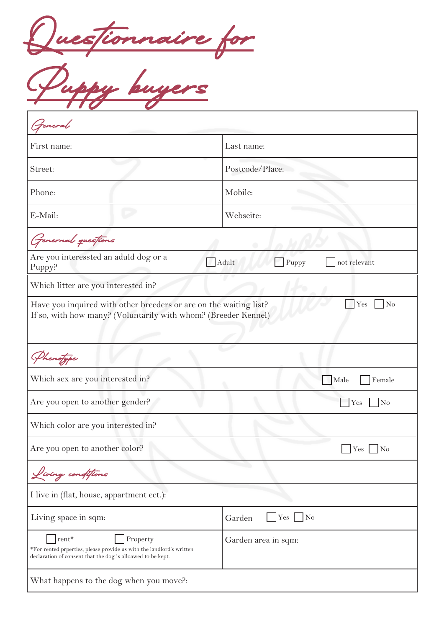Questionnaire for

Puppy buyers

| Feneral                                                                                                                                                      |                                 |  |
|--------------------------------------------------------------------------------------------------------------------------------------------------------------|---------------------------------|--|
| First name:                                                                                                                                                  | Last name:                      |  |
| Street:                                                                                                                                                      | Postcode/Place:                 |  |
| Phone:                                                                                                                                                       | Mobile:                         |  |
| E-Mail:                                                                                                                                                      | Webseite:                       |  |
| Genernal questions                                                                                                                                           |                                 |  |
| Are you interessted an aduld dog or a<br>Puppy?                                                                                                              | Adult<br>Puppy<br>not relevant  |  |
| Which litter are you interested in?                                                                                                                          |                                 |  |
| Have you inquired with other breeders or are on the waiting list?<br>Yes<br>N <sub>o</sub><br>If so, with how many? (Voluntarily with whom? (Breeder Kennel) |                                 |  |
| Phenofype                                                                                                                                                    |                                 |  |
| Which sex are you interested in?                                                                                                                             | Male<br>Female                  |  |
| Are you open to another gender?                                                                                                                              | No<br>Yes                       |  |
| Which color are you interested in?                                                                                                                           |                                 |  |
| Are you open to another color?                                                                                                                               | $Yes$ No                        |  |
| Living conditions                                                                                                                                            |                                 |  |
| I live in (flat, house, appartment ect.):                                                                                                                    |                                 |  |
| Living space in sqm:                                                                                                                                         | Yes<br>$\overline{N}$<br>Garden |  |
| rent*<br>Property<br>*For rented prperties, please provide us with the landlord's written<br>declaration of consent that the dog is alloawed to be kept.     | Garden area in sqm:             |  |
| What happens to the dog when you move?:                                                                                                                      |                                 |  |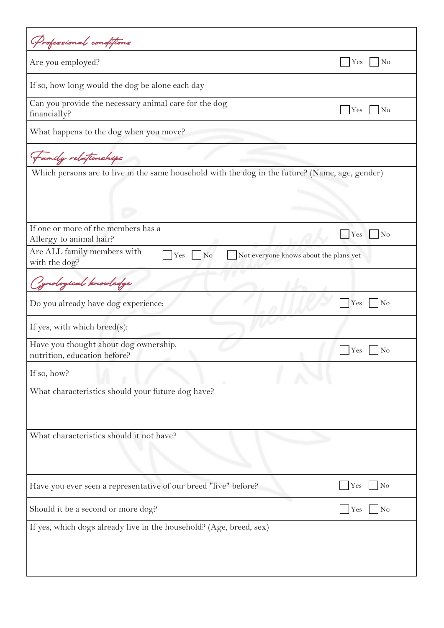| Professional conditions                                                                                         |                            |
|-----------------------------------------------------------------------------------------------------------------|----------------------------|
| Are you employed?                                                                                               | $\log$<br>Yes              |
| If so, how long would the dog be alone each day                                                                 |                            |
| Can you provide the necessary animal care for the dog<br>financially?                                           | $\log$<br>Yes              |
| What happens to the dog when you move?                                                                          |                            |
| Family relationships                                                                                            |                            |
| Which persons are to live in the same household with the dog in the future? (Name, age, gender)                 |                            |
| If one or more of the members has a<br>Allergy to animal hair?                                                  | $\rm No$<br>Yes            |
| Are ALL family members with<br>Yes<br>N <sub>o</sub><br>Not everyone knows about the plans yet<br>with the dog? |                            |
| Cynological knowledge                                                                                           |                            |
| Do you already have dog experience:                                                                             | N <sub>o</sub><br>Yes      |
| If yes, with which breed $(s)$ :                                                                                |                            |
| Have you thought about dog ownership,<br>nutrition, education before?                                           | N <sub>o</sub><br>Yes      |
| If so, how?                                                                                                     |                            |
| What characteristics should your future dog have?                                                               |                            |
| What characteristics should it not have?                                                                        |                            |
|                                                                                                                 |                            |
| Have you ever seen a representative of our breed "live" before?                                                 | $\overline{\rm No}$<br>Yes |
| Should it be a second or more dog?                                                                              | N <sub>o</sub><br>Yes      |
| If yes, which dogs already live in the household? (Age, breed, sex)                                             |                            |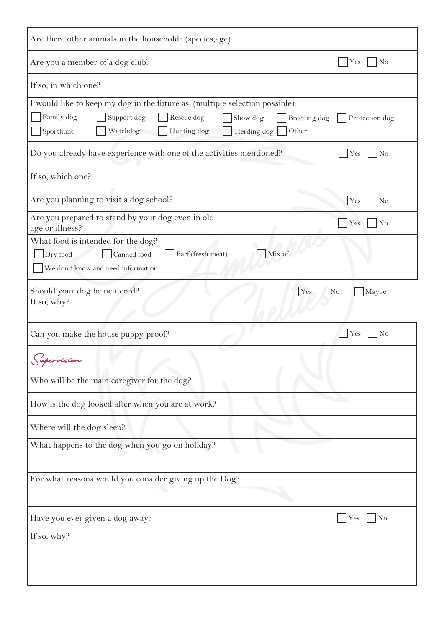| Are there other animals in the household? (species, age)                                                                                                                                                                             |                         |  |  |
|--------------------------------------------------------------------------------------------------------------------------------------------------------------------------------------------------------------------------------------|-------------------------|--|--|
| Are you a member of a dog club?                                                                                                                                                                                                      | N <sub>o</sub><br>Yes   |  |  |
| If so, in which one?                                                                                                                                                                                                                 |                         |  |  |
| I would like to keep my dog in the future as: (multiple selection possible)<br>Family dog<br>Support dog<br>Rescue dog<br>Breeding dog<br>Show dog<br>Protection dog<br>Sporthund<br>Hunting dog<br>Herding dog<br>Other<br>Watchdog |                         |  |  |
| Do you already have experience with one of the activities mentioned?                                                                                                                                                                 | Yes<br>N <sub>o</sub>   |  |  |
| If so, which one?                                                                                                                                                                                                                    |                         |  |  |
| Are you planning to visit a dog school?                                                                                                                                                                                              | No<br>Yes               |  |  |
| Are you prepared to stand by your dog even in old<br>age or illness?                                                                                                                                                                 | Yes<br>N <sub>o</sub>   |  |  |
| What food is intended for the dog?<br>Mix of:<br>Barf (fresh meat)<br>Dry food<br>Canned food<br>We don't know and need information                                                                                                  |                         |  |  |
| Should your dog be neutered?<br>Yes<br>If so, why?                                                                                                                                                                                   | N <sub>o</sub><br>Maybe |  |  |
| Can you make the house puppy-proof?                                                                                                                                                                                                  | N <sub>o</sub><br>Yes   |  |  |
| upervision                                                                                                                                                                                                                           |                         |  |  |
| Who will be the main caregiver for the dog?                                                                                                                                                                                          |                         |  |  |
| How is the dog looked after when you are at work?                                                                                                                                                                                    |                         |  |  |
| Where will the dog sleep?                                                                                                                                                                                                            |                         |  |  |
| What happens to the dog when you go on holiday?                                                                                                                                                                                      |                         |  |  |
| For what reasons would you consider giving up the Dog?                                                                                                                                                                               |                         |  |  |
| Have you ever given a dog away?                                                                                                                                                                                                      | $\vert$ No<br>Yes       |  |  |
| If so, why?                                                                                                                                                                                                                          |                         |  |  |